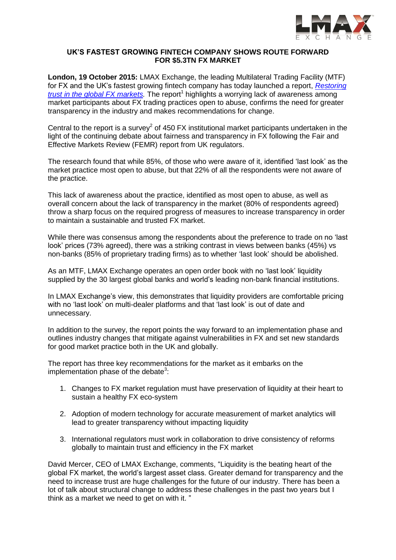

#### **UK'S FASTEST GROWING FINTECH COMPANY SHOWS ROUTE FORWARD FOR \$5.3TN FX MARKET**

**London, 19 October 2015:** LMAX Exchange, the leading Multilateral Trading Facility (MTF) for FX and the UK's fastest growing fintech company has today launched a report, *[Restoring](https://www.lmax.com/restoring-trust-in-global-fx-markets-report) [trust in the global FX markets.](https://www.lmax.com/restoring-trust-in-global-fx-markets-report)* The report 1 highlights a worrying lack of awareness among market participants about FX trading practices open to abuse, confirms the need for greater transparency in the industry and makes recommendations for change.

Central to the report is a survey<sup>2</sup> of 450 FX institutional market participants undertaken in the light of the continuing debate about fairness and transparency in FX following the Fair and Effective Markets Review (FEMR) report from UK regulators.

The research found that while 85%, of those who were aware of it, identified 'last look' as the market practice most open to abuse, but that 22% of all the respondents were not aware of the practice.

This lack of awareness about the practice, identified as most open to abuse, as well as overall concern about the lack of transparency in the market (80% of respondents agreed) throw a sharp focus on the required progress of measures to increase transparency in order to maintain a sustainable and trusted FX market.

While there was consensus among the respondents about the preference to trade on no 'last look' prices (73% agreed), there was a striking contrast in views between banks (45%) vs non-banks (85% of proprietary trading firms) as to whether 'last look' should be abolished.

As an MTF, LMAX Exchange operates an open order book with no 'last look' liquidity supplied by the 30 largest global banks and world's leading non-bank financial institutions.

In LMAX Exchange's view, this demonstrates that liquidity providers are comfortable pricing with no 'last look' on multi-dealer platforms and that 'last look' is out of date and unnecessary.

In addition to the survey, the report points the way forward to an implementation phase and outlines industry changes that mitigate against vulnerabilities in FX and set new standards for good market practice both in the UK and globally.

The report has three key recommendations for the market as it embarks on the implementation phase of the debate<sup>3</sup>:

- 1. Changes to FX market regulation must have preservation of liquidity at their heart to sustain a healthy FX eco-system
- 2. Adoption of modern technology for accurate measurement of market analytics will lead to greater transparency without impacting liquidity
- 3. International regulators must work in collaboration to drive consistency of reforms globally to maintain trust and efficiency in the FX market

David Mercer, CEO of LMAX Exchange, comments, "Liquidity is the beating heart of the global FX market, the world's largest asset class. Greater demand for transparency and the need to increase trust are huge challenges for the future of our industry. There has been a lot of talk about structural change to address these challenges in the past two years but I think as a market we need to get on with it. "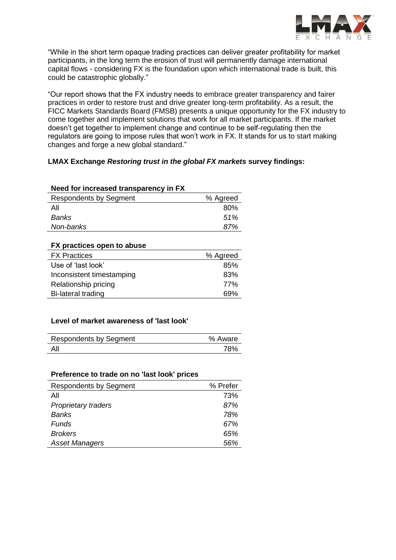

"While in the short term opaque trading practices can deliver greater profitability for market participants, in the long term the erosion of trust will permanently damage international capital flows - considering FX is the foundation upon which international trade is built, this could be catastrophic globally."

"Our report shows that the FX industry needs to embrace greater transparency and fairer practices in order to restore trust and drive greater long-term profitability. As a result, the FICC Markets Standards Board (FMSB) presents a unique opportunity for the FX industry to come together and implement solutions that work for all market participants. If the market doesn't get together to implement change and continue to be self-regulating then the regulators are going to impose rules that won't work in FX. It stands for us to start making changes and forge a new global standard."

# **LMAX Exchange** *Restoring trust in the global FX markets* **survey findings:**

# **Need for increased transparency in FX**  Respondents by Seament Management 8 % Agreed  $\mathsf{All}$  80% *Banks 51% Non-banks 87%*

| FX practices open to abuse |          |
|----------------------------|----------|
| <b>FX Practices</b>        | % Agreed |
| Use of 'last look'         | 85%      |
| Inconsistent timestamping  | 83%      |
| Relationship pricing       | 77%      |
| <b>Bi-lateral trading</b>  | ନ୍ଦ%     |

## **Level of market awareness of 'last look'**

| <b>Respondents by Segment</b> | % Aware |
|-------------------------------|---------|
| All                           | 78%     |

## **Preference to trade on no 'last look' prices**

| <b>Respondents by Segment</b> | % Prefer |
|-------------------------------|----------|
| All                           | 73%      |
| <b>Proprietary traders</b>    | 87%      |
| <b>Banks</b>                  | 78%      |
| Funds                         | 67%      |
| <b>Brokers</b>                | 65%      |
| <b>Asset Managers</b>         | 56%      |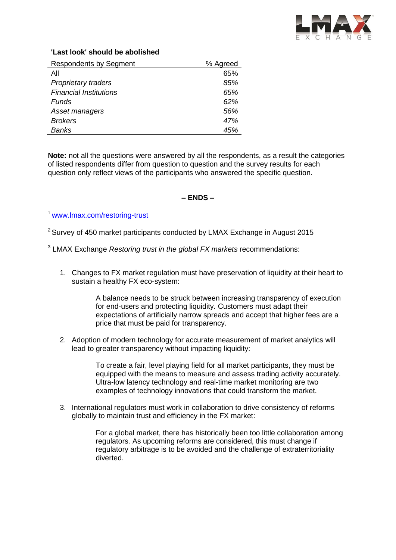

## **'Last look' should be abolished**

| <b>Respondents by Segment</b> | % Agreed |
|-------------------------------|----------|
| All                           | 65%      |
| <b>Proprietary traders</b>    | 85%      |
| <b>Financial Institutions</b> | 65%      |
| Funds                         | 62%      |
| Asset managers                | 56%      |
| <b>Brokers</b>                | 47%      |
| Banks                         | 45%      |

**Note:** not all the questions were answered by all the respondents, as a result the categories of listed respondents differ from question to question and the survey results for each question only reflect views of the participants who answered the specific question.

# **– ENDS –**

<sup>1</sup> [www.lmax.com/restoring-trust](http://www.lmax.com/restoring-trust)

 $2$  Survey of 450 market participants conducted by LMAX Exchange in August 2015

3 LMAX Exchange *Restoring trust in the global FX markets* recommendations:

1. Changes to FX market regulation must have preservation of liquidity at their heart to sustain a healthy FX eco-system:

> A balance needs to be struck between increasing transparency of execution for end-users and protecting liquidity. Customers must adapt their expectations of artificially narrow spreads and accept that higher fees are a price that must be paid for transparency.

2. Adoption of modern technology for accurate measurement of market analytics will lead to greater transparency without impacting liquidity:

> To create a fair, level playing field for all market participants, they must be equipped with the means to measure and assess trading activity accurately. Ultra-low latency technology and real-time market monitoring are two examples of technology innovations that could transform the market.

3. International regulators must work in collaboration to drive consistency of reforms globally to maintain trust and efficiency in the FX market:

> For a global market, there has historically been too little collaboration among regulators. As upcoming reforms are considered, this must change if regulatory arbitrage is to be avoided and the challenge of extraterritoriality diverted.